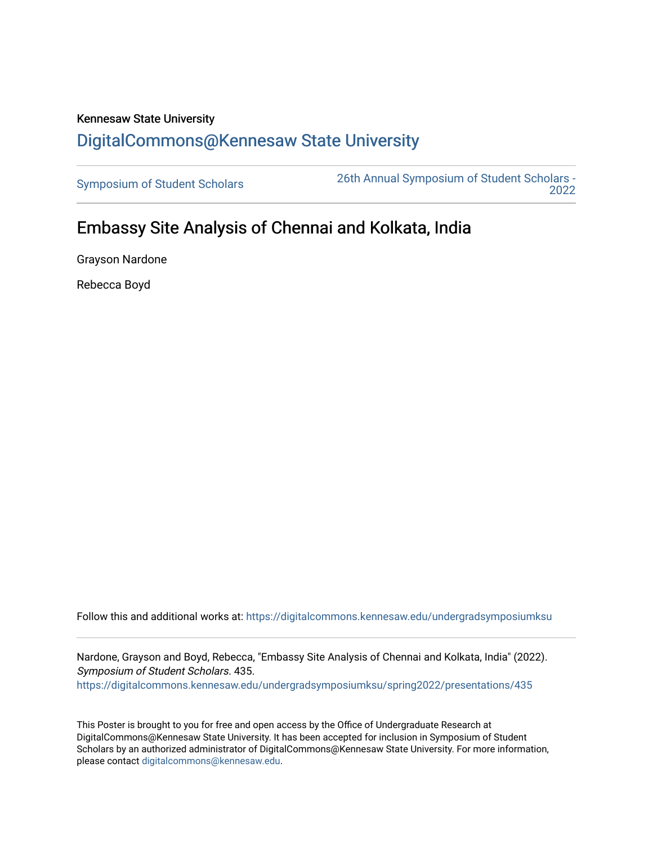## Kennesaw State University [DigitalCommons@Kennesaw State University](https://digitalcommons.kennesaw.edu/)

[Symposium of Student Scholars](https://digitalcommons.kennesaw.edu/undergradsymposiumksu) [26th Annual Symposium of Student Scholars -](https://digitalcommons.kennesaw.edu/undergradsymposiumksu/spring2022)  [2022](https://digitalcommons.kennesaw.edu/undergradsymposiumksu/spring2022) 

## Embassy Site Analysis of Chennai and Kolkata, India

Grayson Nardone

Rebecca Boyd

Follow this and additional works at: [https://digitalcommons.kennesaw.edu/undergradsymposiumksu](https://digitalcommons.kennesaw.edu/undergradsymposiumksu?utm_source=digitalcommons.kennesaw.edu%2Fundergradsymposiumksu%2Fspring2022%2Fpresentations%2F435&utm_medium=PDF&utm_campaign=PDFCoverPages) 

Nardone, Grayson and Boyd, Rebecca, "Embassy Site Analysis of Chennai and Kolkata, India" (2022). Symposium of Student Scholars. 435. [https://digitalcommons.kennesaw.edu/undergradsymposiumksu/spring2022/presentations/435](https://digitalcommons.kennesaw.edu/undergradsymposiumksu/spring2022/presentations/435?utm_source=digitalcommons.kennesaw.edu%2Fundergradsymposiumksu%2Fspring2022%2Fpresentations%2F435&utm_medium=PDF&utm_campaign=PDFCoverPages)

This Poster is brought to you for free and open access by the Office of Undergraduate Research at DigitalCommons@Kennesaw State University. It has been accepted for inclusion in Symposium of Student Scholars by an authorized administrator of DigitalCommons@Kennesaw State University. For more information, please contact [digitalcommons@kennesaw.edu.](mailto:digitalcommons@kennesaw.edu)